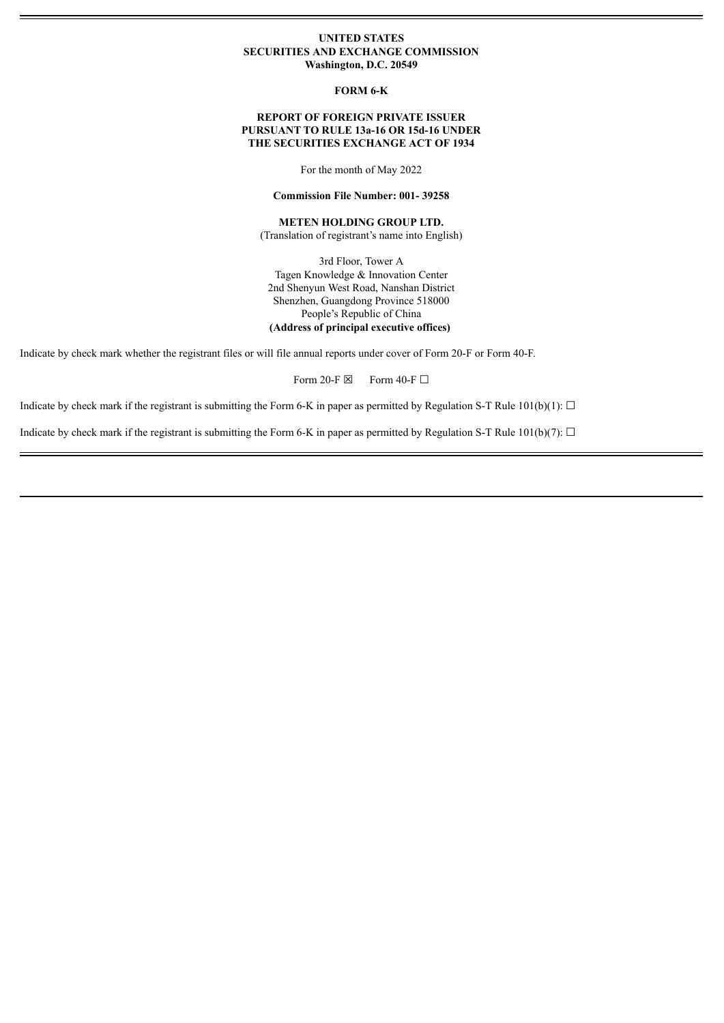## **UNITED STATES SECURITIES AND EXCHANGE COMMISSION Washington, D.C. 20549**

**FORM 6-K**

## **REPORT OF FOREIGN PRIVATE ISSUER PURSUANT TO RULE 13a-16 OR 15d-16 UNDER THE SECURITIES EXCHANGE ACT OF 1934**

For the month of May 2022

#### **Commission File Number: 001- 39258**

# **METEN HOLDING GROUP LTD.**

(Translation of registrant's name into English)

3rd Floor, Tower A Tagen Knowledge & Innovation Center 2nd Shenyun West Road, Nanshan District Shenzhen, Guangdong Province 518000 People's Republic of China **(Address of principal executive offices)**

Indicate by check mark whether the registrant files or will file annual reports under cover of Form 20-F or Form 40-F.

Form 20-F  $\boxtimes$  Form 40-F  $\Box$ 

Indicate by check mark if the registrant is submitting the Form 6-K in paper as permitted by Regulation S-T Rule 101(b)(1):  $\Box$ 

Indicate by check mark if the registrant is submitting the Form 6-K in paper as permitted by Regulation S-T Rule 101(b)(7):  $\Box$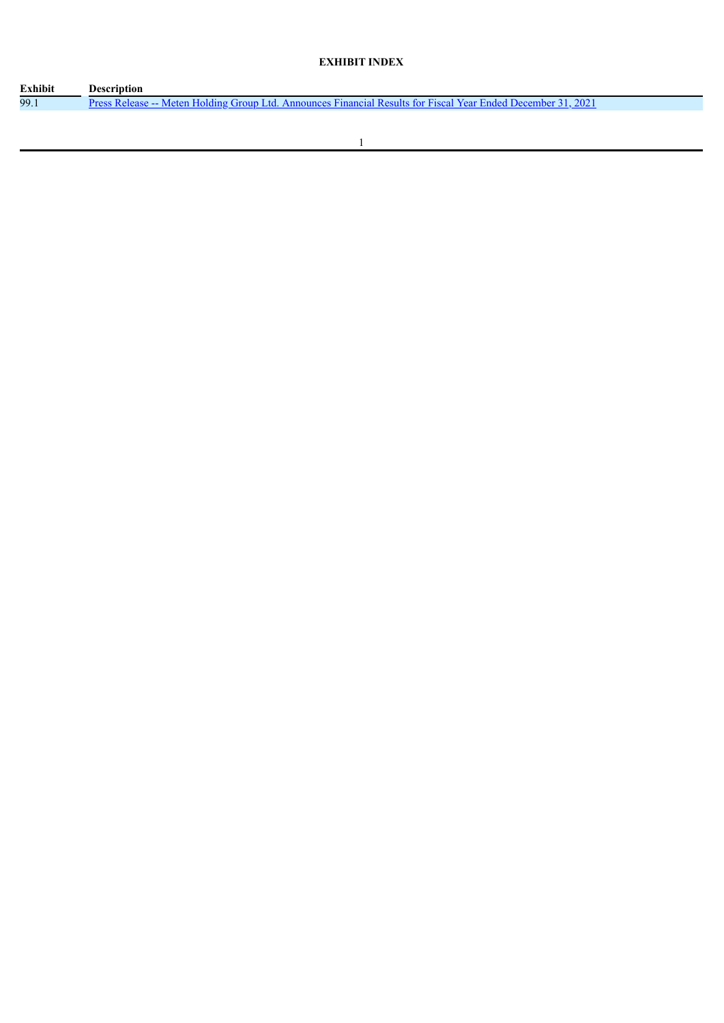# **EXHIBIT INDEX**

| <b>Exhibit</b> | Description                                                                                                     |
|----------------|-----------------------------------------------------------------------------------------------------------------|
| 99.1           | 202<br>Press Release -- Meten Holding Group Ltd. Announces Financial Results for Fiscal Year Ended December 31. |
|                |                                                                                                                 |

 $\overline{\phantom{0}}$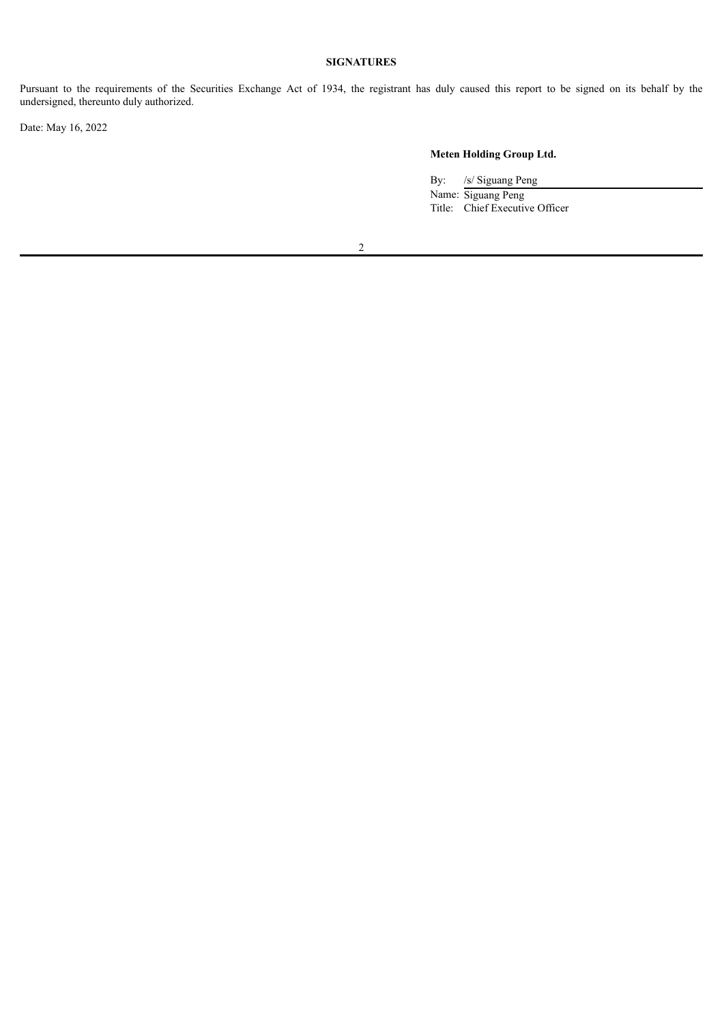# **SIGNATURES**

Pursuant to the requirements of the Securities Exchange Act of 1934, the registrant has duly caused this report to be signed on its behalf by the undersigned, thereunto duly authorized.

Date: May 16, 2022

# **Meten Holding Group Ltd.**

By: /s/ Siguang Peng

Name: Siguang Peng Title: Chief Executive Officer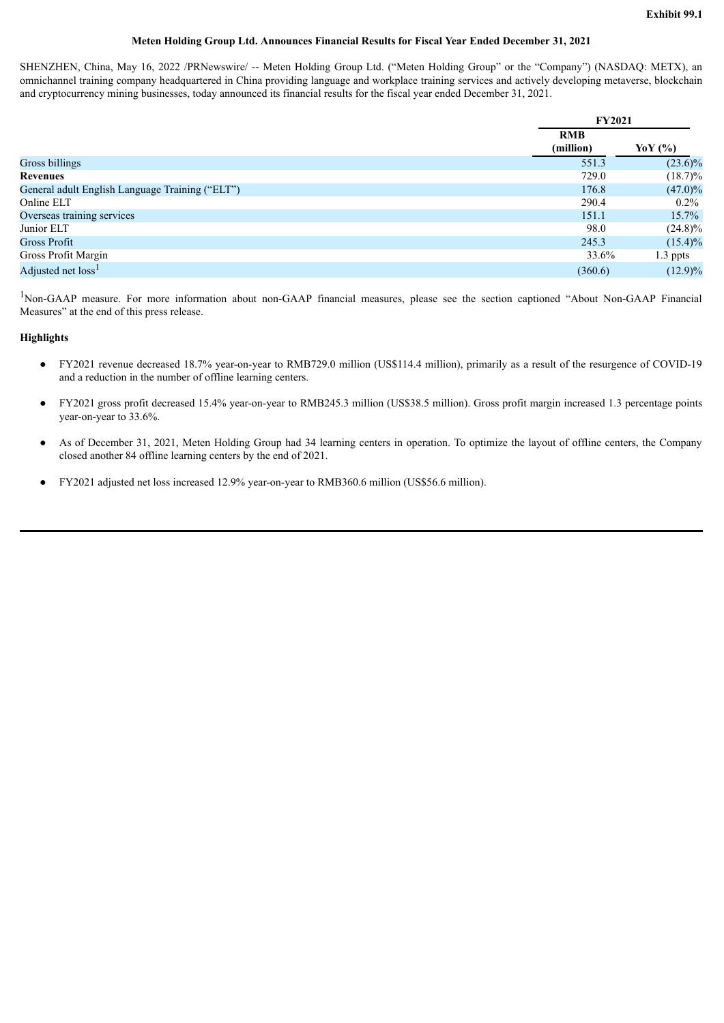## **Meten Holding Group Ltd. Announces Financial Results for Fiscal Year Ended December 31, 2021**

<span id="page-3-0"></span>SHENZHEN, China, May 16, 2022 /PRNewswire/ -- Meten Holding Group Ltd. ("Meten Holding Group" or the "Company") (NASDAQ: METX), an omnichannel training company headquartered in China providing language and workplace training services and actively developing metaverse, blockchain and cryptocurrency mining businesses, today announced its financial results for the fiscal year ended December 31, 2021.

|                                                 | <b>FY2021</b> |            |  |
|-------------------------------------------------|---------------|------------|--|
|                                                 | <b>RMB</b>    |            |  |
|                                                 | (million)     | YoY (%)    |  |
| Gross billings                                  | 551.3         | $(23.6)\%$ |  |
| <b>Revenues</b>                                 | 729.0         | $(18.7)\%$ |  |
| General adult English Language Training ("ELT") | 176.8         | $(47.0)\%$ |  |
| Online ELT                                      | 290.4         | $0.2\%$    |  |
| Overseas training services                      | 151.1         | 15.7%      |  |
| Junior ELT                                      | 98.0          | $(24.8)\%$ |  |
| Gross Profit                                    | 245.3         | $(15.4)\%$ |  |
| Gross Profit Margin                             | 33.6%         | 1.3 ppts   |  |
| Adjusted net loss <sup>1</sup>                  | (360.6)       | $(12.9)\%$ |  |

<sup>1</sup>Non-GAAP measure. For more information about non-GAAP financial measures, please see the section captioned "About Non-GAAP Financial Measures" at the end of this press release.

## **Highlights**

- FY2021 revenue decreased 18.7% year-on-year to RMB729.0 million (US\$114.4 million), primarily as a result of the resurgence of COVID-19 and a reduction in the number of offline learning centers.
- FY2021 gross profit decreased 15.4% year-on-year to RMB245.3 million (US\$38.5 million). Gross profit margin increased 1.3 percentage points year-on-year to 33.6%.
- As of December 31, 2021, Meten Holding Group had 34 learning centers in operation. To optimize the layout of offline centers, the Company closed another 84 offline learning centers by the end of 2021.
- FY2021 adjusted net loss increased 12.9% year-on-year to RMB360.6 million (US\$56.6 million).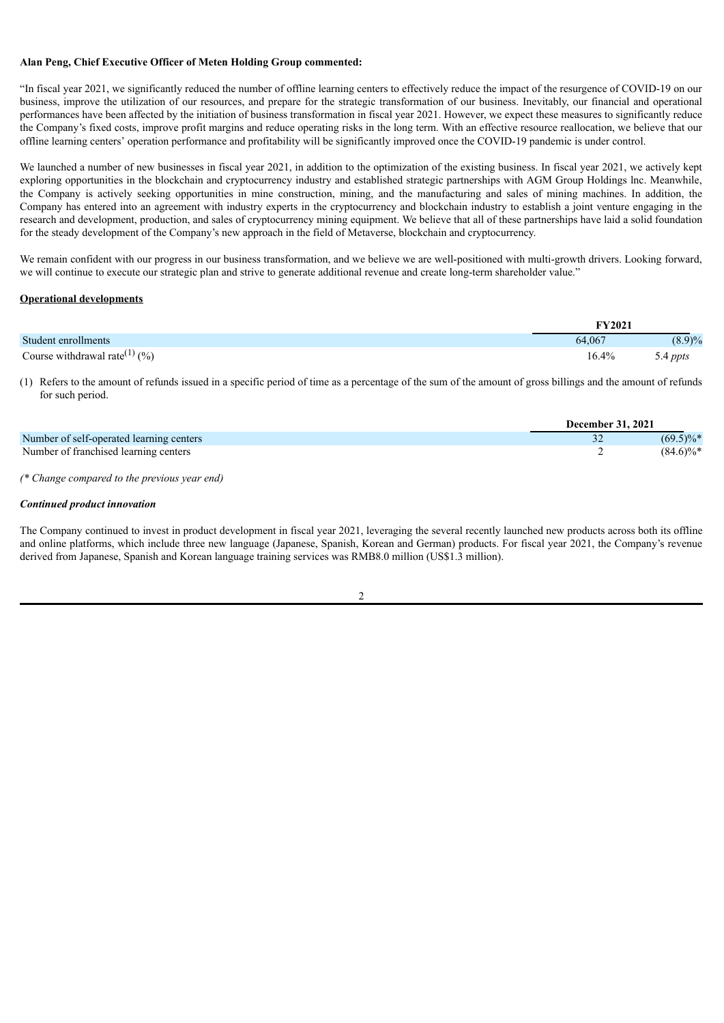## **Alan Peng, Chief Executive Officer of Meten Holding Group commented:**

"In fiscal year 2021, we significantly reduced the number of offline learning centers to effectively reduce the impact of the resurgence of COVID-19 on our business, improve the utilization of our resources, and prepare for the strategic transformation of our business. Inevitably, our financial and operational performances have been affected by the initiation of business transformation in fiscal year 2021. However, we expect these measures to significantly reduce the Company's fixed costs, improve profit margins and reduce operating risks in the long term. With an effective resource reallocation, we believe that our offline learning centers' operation performance and profitability will be significantly improved once the COVID-19 pandemic is under control.

We launched a number of new businesses in fiscal year 2021, in addition to the optimization of the existing business. In fiscal year 2021, we actively kept exploring opportunities in the blockchain and cryptocurrency industry and established strategic partnerships with AGM Group Holdings lnc. Meanwhile, the Company is actively seeking opportunities in mine construction, mining, and the manufacturing and sales of mining machines. In addition, the Company has entered into an agreement with industry experts in the cryptocurrency and blockchain industry to establish a joint venture engaging in the research and development, production, and sales of cryptocurrency mining equipment. We believe that all of these partnerships have laid a solid foundation for the steady development of the Company's new approach in the field of Metaverse, blockchain and cryptocurrency.

We remain confident with our progress in our business transformation, and we believe we are well-positioned with multi-growth drivers. Looking forward, we will continue to execute our strategic plan and strive to generate additional revenue and create long-term shareholder value."

#### **Operational developments**

|                                                      | <b>FY2021</b> |          |
|------------------------------------------------------|---------------|----------|
| Student enrollments                                  | 64.067        | (8.9)%   |
| Course withdrawal rate <sup>(1)</sup> $\frac{6}{90}$ | 16.4%         | 5.4 ppts |

(1) Refers to the amount of refunds issued in a specific period of time as a percentage of the sum of the amount of gross billings and the amount of refunds for such period.

|                                          | <b>December 31, 2021</b> |              |
|------------------------------------------|--------------------------|--------------|
| Number of self-operated learning centers |                          | $(69.5)\%$   |
| Number of franchised learning centers    |                          | $(84.6)\%$ * |

*(\* Change compared to the previous year end)*

#### *Continued product innovation*

The Company continued to invest in product development in fiscal year 2021, leveraging the several recently launched new products across both its offline and online platforms, which include three new language (Japanese, Spanish, Korean and German) products. For fiscal year 2021, the Company's revenue derived from Japanese, Spanish and Korean language training services was RMB8.0 million (US\$1.3 million).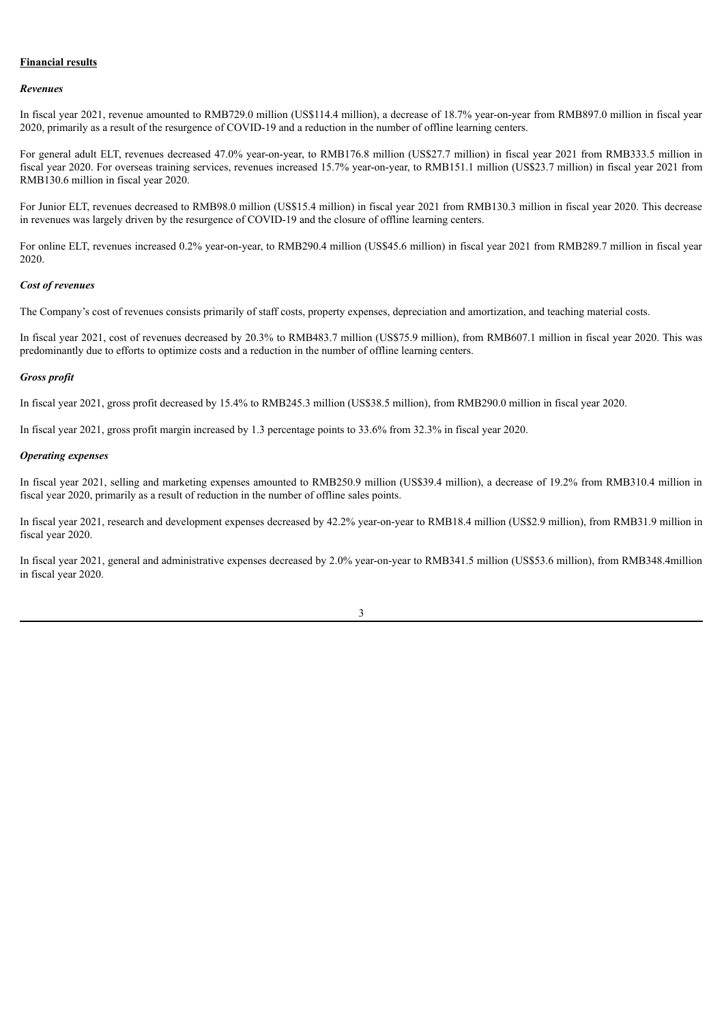## **Financial results**

#### *Revenues*

In fiscal year 2021, revenue amounted to RMB729.0 million (US\$114.4 million), a decrease of 18.7% year-on-year from RMB897.0 million in fiscal year 2020, primarily as a result of the resurgence of COVID-19 and a reduction in the number of offline learning centers.

For general adult ELT, revenues decreased 47.0% year-on-year, to RMB176.8 million (US\$27.7 million) in fiscal year 2021 from RMB333.5 million in fiscal year 2020. For overseas training services, revenues increased 15.7% year-on-year, to RMB151.1 million (US\$23.7 million) in fiscal year 2021 from RMB130.6 million in fiscal year 2020.

For Junior ELT, revenues decreased to RMB98.0 million (US\$15.4 million) in fiscal year 2021 from RMB130.3 million in fiscal year 2020. This decrease in revenues was largely driven by the resurgence of COVID-19 and the closure of offline learning centers.

For online ELT, revenues increased 0.2% year-on-year, to RMB290.4 million (US\$45.6 million) in fiscal year 2021 from RMB289.7 million in fiscal year 2020.

#### *Cost of revenues*

The Company's cost of revenues consists primarily of staff costs, property expenses, depreciation and amortization, and teaching material costs.

In fiscal year 2021, cost of revenues decreased by 20.3% to RMB483.7 million (US\$75.9 million), from RMB607.1 million in fiscal year 2020. This was predominantly due to efforts to optimize costs and a reduction in the number of offline learning centers.

#### *Gross profit*

In fiscal year 2021, gross profit decreased by 15.4% to RMB245.3 million (US\$38.5 million), from RMB290.0 million in fiscal year 2020.

In fiscal year 2021, gross profit margin increased by 1.3 percentage points to 33.6% from 32.3% in fiscal year 2020.

### *Operating expenses*

In fiscal year 2021, selling and marketing expenses amounted to RMB250.9 million (US\$39.4 million), a decrease of 19.2% from RMB310.4 million in fiscal year 2020, primarily as a result of reduction in the number of offline sales points.

In fiscal year 2021, research and development expenses decreased by 42.2% year-on-year to RMB18.4 million (US\$2.9 million), from RMB31.9 million in fiscal year 2020.

In fiscal year 2021, general and administrative expenses decreased by 2.0% year-on-year to RMB341.5 million (US\$53.6 million), from RMB348.4million in fiscal year 2020.

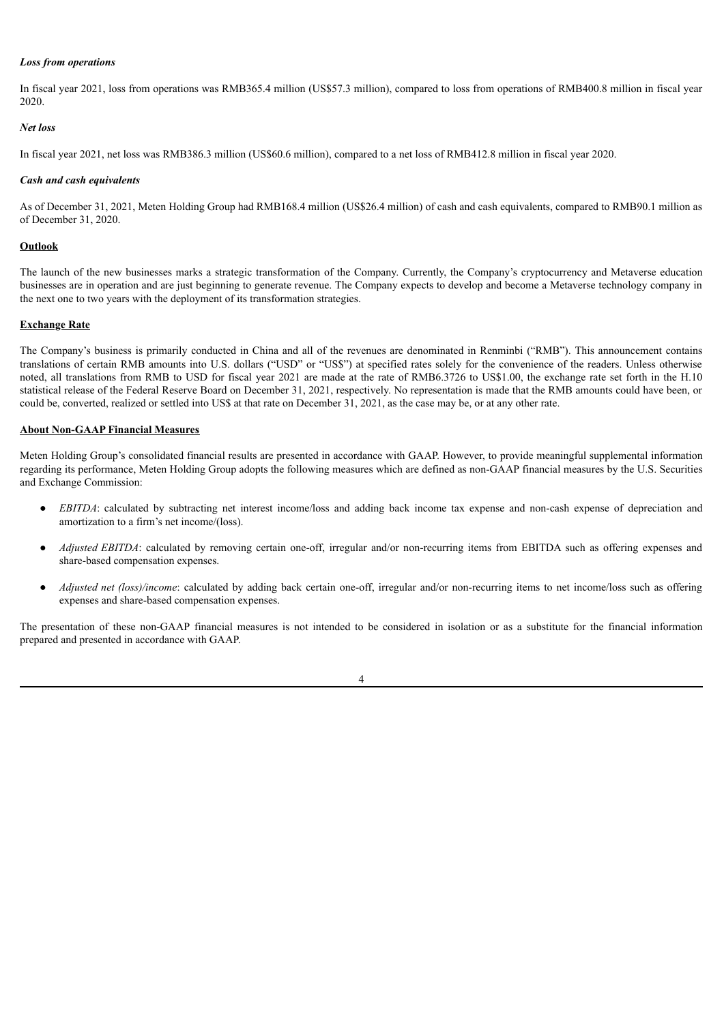### *Loss from operations*

In fiscal year 2021, loss from operations was RMB365.4 million (US\$57.3 million), compared to loss from operations of RMB400.8 million in fiscal year 2020.

# *Net loss*

In fiscal year 2021, net loss was RMB386.3 million (US\$60.6 million), compared to a net loss of RMB412.8 million in fiscal year 2020.

#### *Cash and cash equivalents*

As of December 31, 2021, Meten Holding Group had RMB168.4 million (US\$26.4 million) of cash and cash equivalents, compared to RMB90.1 million as of December 31, 2020.

### **Outlook**

The launch of the new businesses marks a strategic transformation of the Company. Currently, the Company's cryptocurrency and Metaverse education businesses are in operation and are just beginning to generate revenue. The Company expects to develop and become a Metaverse technology company in the next one to two years with the deployment of its transformation strategies.

#### **Exchange Rate**

The Company's business is primarily conducted in China and all of the revenues are denominated in Renminbi ("RMB"). This announcement contains translations of certain RMB amounts into U.S. dollars ("USD" or "US\$") at specified rates solely for the convenience of the readers. Unless otherwise noted, all translations from RMB to USD for fiscal year 2021 are made at the rate of RMB6.3726 to US\$1.00, the exchange rate set forth in the H.10 statistical release of the Federal Reserve Board on December 31, 2021, respectively. No representation is made that the RMB amounts could have been, or could be, converted, realized or settled into US\$ at that rate on December 31, 2021, as the case may be, or at any other rate.

## **About Non-GAAP Financial Measures**

Meten Holding Group's consolidated financial results are presented in accordance with GAAP. However, to provide meaningful supplemental information regarding its performance, Meten Holding Group adopts the following measures which are defined as non-GAAP financial measures by the U.S. Securities and Exchange Commission:

- *EBITDA*: calculated by subtracting net interest income/loss and adding back income tax expense and non-cash expense of depreciation and amortization to a firm's net income/(loss).
- *Adjusted EBITDA*: calculated by removing certain one-off, irregular and/or non-recurring items from EBITDA such as offering expenses and share-based compensation expenses.
- *Adjusted net (loss)/income*: calculated by adding back certain one-off, irregular and/or non-recurring items to net income/loss such as offering expenses and share-based compensation expenses.

The presentation of these non-GAAP financial measures is not intended to be considered in isolation or as a substitute for the financial information prepared and presented in accordance with GAAP.

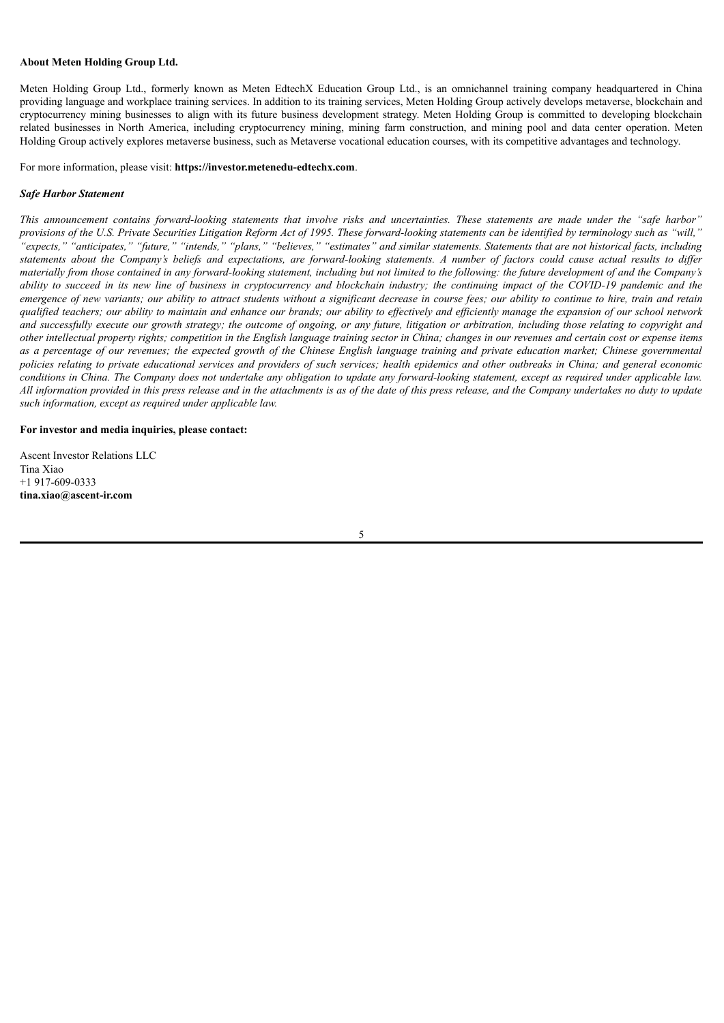#### **About Meten Holding Group Ltd.**

Meten Holding Group Ltd., formerly known as Meten EdtechX Education Group Ltd., is an omnichannel training company headquartered in China providing language and workplace training services. In addition to its training services, Meten Holding Group actively develops metaverse, blockchain and cryptocurrency mining businesses to align with its future business development strategy. Meten Holding Group is committed to developing blockchain related businesses in North America, including cryptocurrency mining, mining farm construction, and mining pool and data center operation. Meten Holding Group actively explores metaverse business, such as Metaverse vocational education courses, with its competitive advantages and technology.

For more information, please visit: **https://investor.metenedu-edtechx.com**.

#### *Safe Harbor Statement*

This announcement contains forward-looking statements that involve risks and uncertainties. These statements are made under the "safe harbor" provisions of the U.S. Private Securities Litigation Reform Act of 1995. These forward-looking statements can be identified by terminology such as "will," "expects," "anticipates," "future," "intends," "plans," "believes," "estimates" and similar statements. Statements that are not historical facts, including statements about the Company's beliefs and expectations, are forward-looking statements. A number of factors could cause actual results to differ materially from those contained in any forward-looking statement, including but not limited to the following: the future development of and the Company's ability to succeed in its new line of business in cryptocurrency and blockchain industry; the continuing impact of the COVID-19 pandemic and the emergence of new variants; our ability to attract students without a significant decrease in course fees; our ability to continue to hire, train and retain qualified teachers; our ability to maintain and enhance our brands; our ability to effectively and efficiently manage the expansion of our school network and successfully execute our growth strategy; the outcome of ongoing, or any future, litigation or arbitration, including those relating to copyright and other intellectual property rights; competition in the English language training sector in China; changes in our revenues and certain cost or expense items as a percentage of our revenues; the expected growth of the Chinese English language training and private education market; Chinese governmental policies relating to private educational services and providers of such services; health epidemics and other outbreaks in China; and general economic conditions in China. The Company does not undertake any obligation to update any forward-looking statement, except as required under applicable law. All information provided in this press release and in the attachments is as of the date of this press release, and the Company undertakes no duty to update *such information, except as required under applicable law.*

#### **For investor and media inquiries, please contact:**

Ascent Investor Relations LLC Tina Xiao +1 917-609-0333 **tina.xiao@ascent-ir.com**

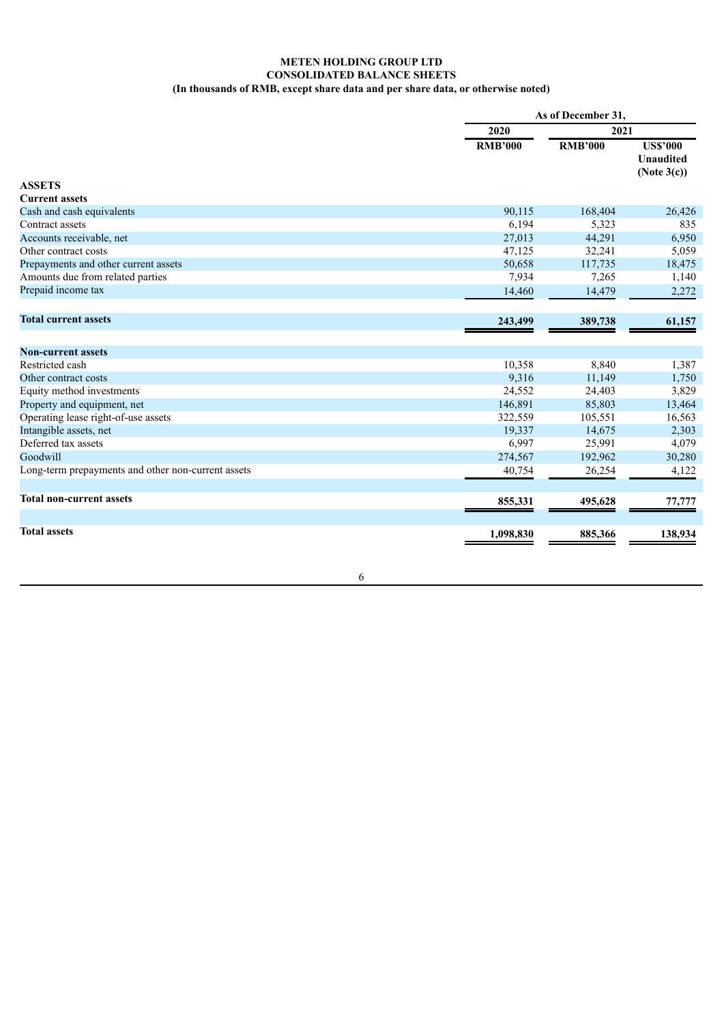# **METEN HOLDING GROUP LTD CONSOLIDATED BALANCE SHEETS (In thousands of RMB, except share data and per share data, or otherwise noted)**

|                                                    |                | As of December 31. |                                                       |  |  |
|----------------------------------------------------|----------------|--------------------|-------------------------------------------------------|--|--|
|                                                    | 2020           | 2021               |                                                       |  |  |
| <b>ASSETS</b>                                      | <b>RMB'000</b> | <b>RMB'000</b>     | <b>US\$'000</b><br><b>Unaudited</b><br>(Note $3(c)$ ) |  |  |
| <b>Current assets</b>                              |                |                    |                                                       |  |  |
| Cash and cash equivalents                          | 90,115         | 168,404            | 26,426                                                |  |  |
| Contract assets                                    | 6,194          | 5,323              | 835                                                   |  |  |
| Accounts receivable, net                           | 27,013         | 44,291             | 6,950                                                 |  |  |
| Other contract costs                               | 47,125         | 32,241             | 5,059                                                 |  |  |
| Prepayments and other current assets               | 50,658         | 117,735            | 18,475                                                |  |  |
| Amounts due from related parties                   | 7,934          | 7,265              | 1,140                                                 |  |  |
| Prepaid income tax                                 | 14,460         | 14,479             | 2,272                                                 |  |  |
| <b>Total current assets</b>                        | 243,499        | 389,738            | 61,157                                                |  |  |
| <b>Non-current assets</b>                          |                |                    |                                                       |  |  |
| Restricted cash                                    | 10,358         | 8,840              | 1,387                                                 |  |  |
| Other contract costs                               | 9,316          | 11,149             | 1,750                                                 |  |  |
| Equity method investments                          | 24,552         | 24,403             | 3,829                                                 |  |  |
| Property and equipment, net                        | 146,891        | 85,803             | 13,464                                                |  |  |
| Operating lease right-of-use assets                | 322,559        | 105,551            | 16,563                                                |  |  |
| Intangible assets, net                             | 19,337         | 14,675             | 2,303                                                 |  |  |
| Deferred tax assets                                | 6,997          | 25,991             | 4,079                                                 |  |  |
| Goodwill                                           | 274,567        | 192,962            | 30,280                                                |  |  |
| Long-term prepayments and other non-current assets | 40,754         | 26,254             | 4,122                                                 |  |  |
| <b>Total non-current assets</b>                    | 855,331        | 495,628            | 77,777                                                |  |  |
|                                                    |                |                    |                                                       |  |  |
| <b>Total assets</b>                                | 1,098,830      | 885,366            | 138,934                                               |  |  |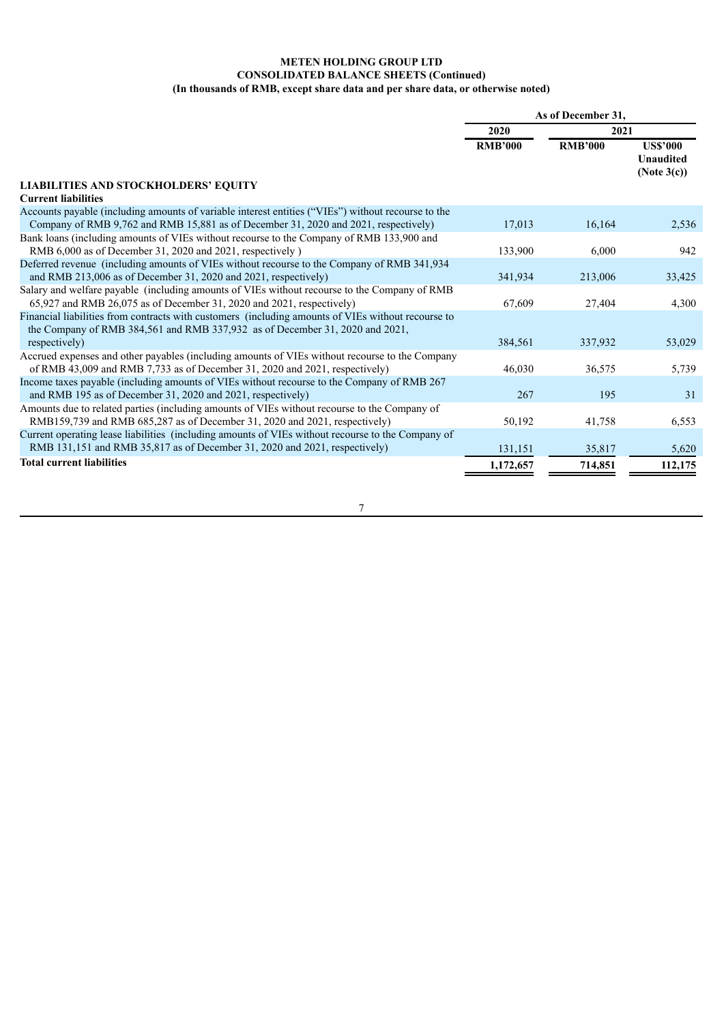# **METEN HOLDING GROUP LTD CONSOLIDATED BALANCE SHEETS (Continued) (In thousands of RMB, except share data and per share data, or otherwise noted)**

|                                                                                                                                                                         | As of December 31, |                |                                                |
|-------------------------------------------------------------------------------------------------------------------------------------------------------------------------|--------------------|----------------|------------------------------------------------|
|                                                                                                                                                                         | 2020               | 2021           |                                                |
|                                                                                                                                                                         | <b>RMB'000</b>     | <b>RMB'000</b> | <b>US\$'000</b><br>Unaudited<br>(Note $3(c)$ ) |
| <b>LIABILITIES AND STOCKHOLDERS' EQUITY</b>                                                                                                                             |                    |                |                                                |
| <b>Current liabilities</b>                                                                                                                                              |                    |                |                                                |
| Accounts payable (including amounts of variable interest entities ("VIEs") without recourse to the                                                                      |                    |                |                                                |
| Company of RMB 9,762 and RMB 15,881 as of December 31, 2020 and 2021, respectively)                                                                                     | 17,013             | 16,164         | 2,536                                          |
| Bank loans (including amounts of VIEs without recourse to the Company of RMB 133,900 and                                                                                |                    |                |                                                |
| RMB 6,000 as of December 31, 2020 and 2021, respectively )                                                                                                              | 133,900            | 6,000          | 942                                            |
| Deferred revenue (including amounts of VIEs without recourse to the Company of RMB 341,934                                                                              |                    |                |                                                |
| and RMB 213,006 as of December 31, 2020 and 2021, respectively)                                                                                                         | 341.934            | 213,006        | 33,425                                         |
| Salary and welfare payable (including amounts of VIEs without recourse to the Company of RMB<br>$65,927$ and RMB 26,075 as of December 31, 2020 and 2021, respectively) | 67,609             | 27,404         | 4,300                                          |
| Financial liabilities from contracts with customers (including amounts of VIEs without recourse to                                                                      |                    |                |                                                |
| the Company of RMB 384,561 and RMB 337,932 as of December 31, 2020 and 2021,                                                                                            |                    |                |                                                |
| respectively)                                                                                                                                                           | 384,561            | 337,932        | 53,029                                         |
| Accrued expenses and other payables (including amounts of VIEs without recourse to the Company                                                                          |                    |                |                                                |
| of RMB 43,009 and RMB 7,733 as of December 31, 2020 and 2021, respectively)                                                                                             | 46,030             | 36,575         | 5,739                                          |
| Income taxes payable (including amounts of VIEs without recourse to the Company of RMB 267)                                                                             |                    |                |                                                |
| and RMB 195 as of December 31, 2020 and 2021, respectively)                                                                                                             | 267                | 195            | 31                                             |
| Amounts due to related parties (including amounts of VIEs without recourse to the Company of                                                                            |                    |                |                                                |
| RMB159,739 and RMB 685,287 as of December 31, 2020 and 2021, respectively)                                                                                              | 50,192             | 41,758         | 6,553                                          |
| Current operating lease liabilities (including amounts of VIEs without recourse to the Company of                                                                       |                    |                |                                                |
| RMB 131,151 and RMB 35,817 as of December 31, 2020 and 2021, respectively)                                                                                              | 131,151            | 35,817         | 5,620                                          |
| <b>Total current liabilities</b>                                                                                                                                        | 1,172,657          | 714,851        | 112,175                                        |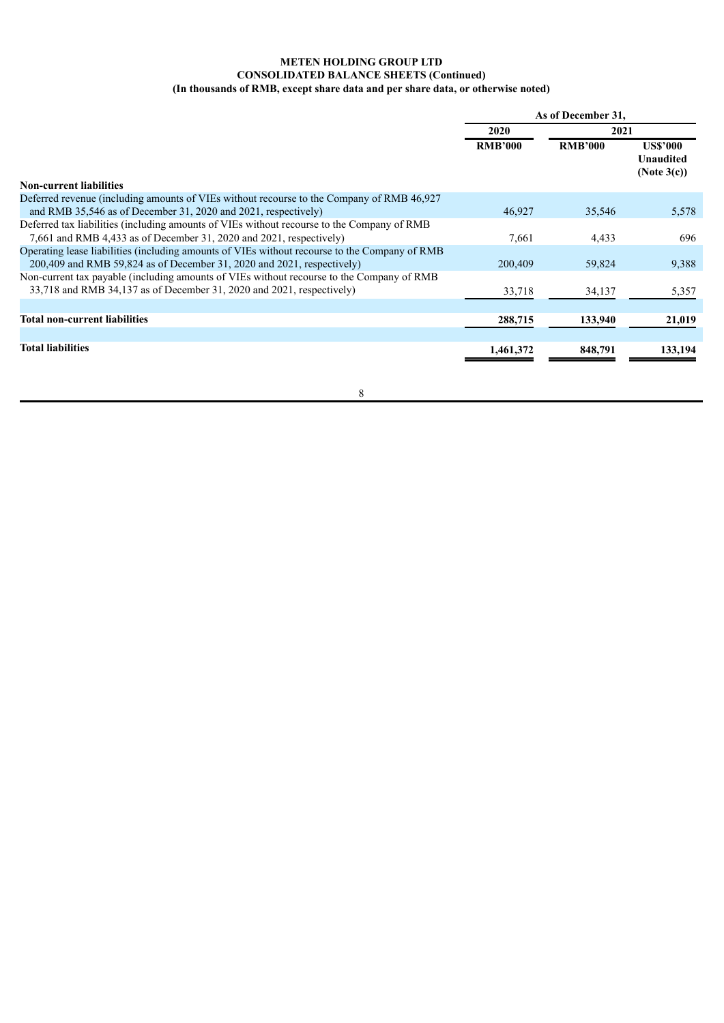# **METEN HOLDING GROUP LTD CONSOLIDATED BALANCE SHEETS (Continued) (In thousands of RMB, except share data and per share data, or otherwise noted)**

|                                                                                                                                                                          | As of December 31, |                |                                             |
|--------------------------------------------------------------------------------------------------------------------------------------------------------------------------|--------------------|----------------|---------------------------------------------|
|                                                                                                                                                                          | 2020               | 2021           |                                             |
| <b>Non-current liabilities</b>                                                                                                                                           | <b>RMB'000</b>     | <b>RMB'000</b> | US\$'000<br><b>Unaudited</b><br>(Note 3(c)) |
| Deferred revenue (including amounts of VIEs without recourse to the Company of RMB 46.927<br>and RMB $35,546$ as of December 31, 2020 and 2021, respectively)            | 46,927             | 35,546         | 5,578                                       |
| Deferred tax liabilities (including amounts of VIEs without recourse to the Company of RMB<br>7,661 and RMB 4,433 as of December 31, 2020 and 2021, respectively)        | 7,661              | 4,433          | 696                                         |
| Operating lease liabilities (including amounts of VIEs without recourse to the Company of RMB<br>$200,409$ and RMB 59,824 as of December 31, 2020 and 2021, respectively | 200,409            | 59,824         | 9,388                                       |
| Non-current tax payable (including amounts of VIEs without recourse to the Company of RMB<br>33,718 and RMB 34,137 as of December 31, 2020 and 2021, respectively)       | 33,718             | 34,137         | 5,357                                       |
| <b>Total non-current liabilities</b>                                                                                                                                     | 288,715            | 133,940        | 21,019                                      |
| <b>Total liabilities</b>                                                                                                                                                 | 1,461,372          | 848,791        | 133,194                                     |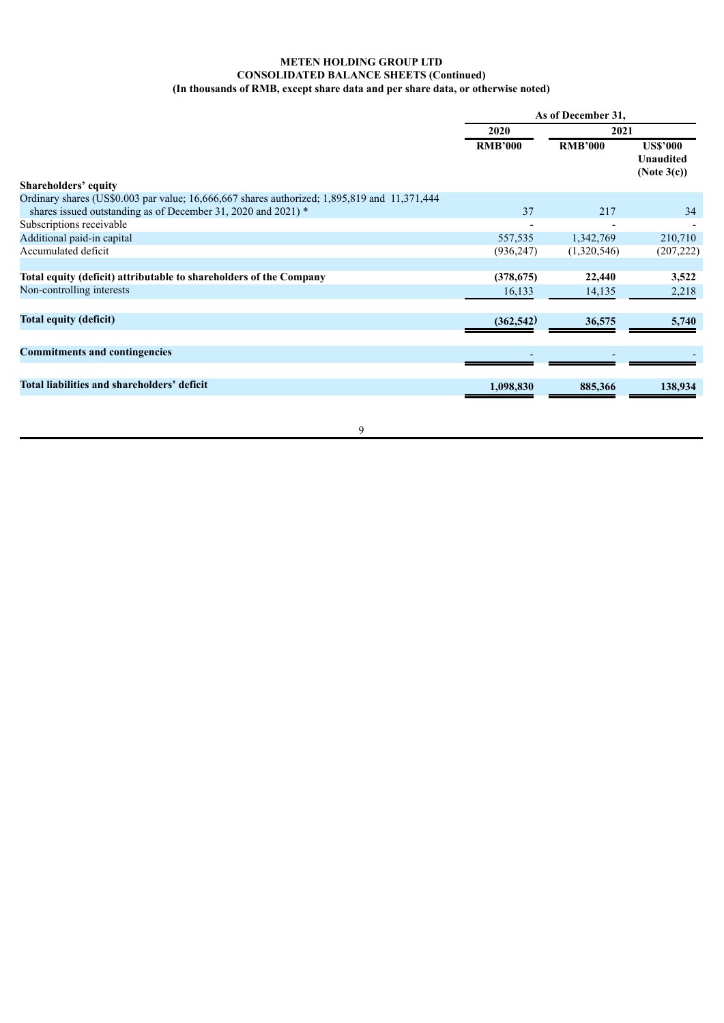# **METEN HOLDING GROUP LTD CONSOLIDATED BALANCE SHEETS (Continued) (In thousands of RMB, except share data and per share data, or otherwise noted)**

| <b>US\$'000</b><br>Unaudited<br>(Note $3(c)$ ) |
|------------------------------------------------|
|                                                |
|                                                |
| 34                                             |
|                                                |
| 210,710                                        |
| (207, 222)                                     |
| 3,522                                          |
| 2,218                                          |
| 5,740                                          |
|                                                |
| 138,934                                        |
|                                                |